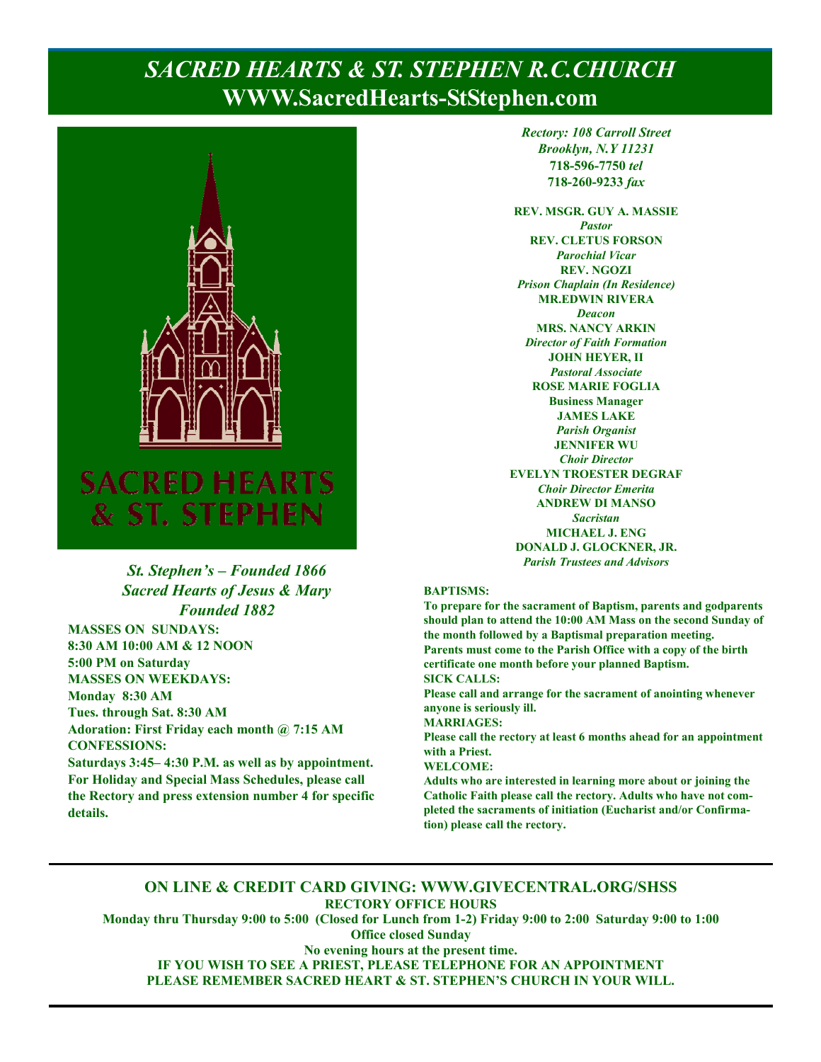# **PAGE 1, SACRED HEARTS & ST. STEPHEN R.C.CHURCH WWW.SacredHearts-StStephen.com**



## *St. Stephen's – Founded 1866 Sacred Hearts of Jesus & Mary Founded 1882*

**MASSES ON SUNDAYS: 8:30 AM 10:00 AM & 12 NOON 5:00 PM on Saturday MASSES ON WEEKDAYS: Monday 8:30 AM Tues. through Sat. 8:30 AM Adoration: First Friday each month @ 7:15 AM CONFESSIONS:** 

**Saturdays 3:45– 4:30 P.M. as well as by appointment. For Holiday and Special Mass Schedules, please call the Rectory and press extension number 4 for specific details.**

*Rectory: 108 Carroll Street Brooklyn, N.Y 11231*  **718-596-7750** *tel* **718-260-9233** *fax*

**REV. MSGR. GUY A. MASSIE**  *Pastor*  **REV. CLETUS FORSON**  *Parochial Vicar*  **REV. NGOZI**  *Prison Chaplain (In Residence)*  **MR.EDWIN RIVERA**  *Deacon*  **MRS. NANCY ARKIN**  *Director of Faith Formation*  **JOHN HEYER, II**  *Pastoral Associate*  **ROSE MARIE FOGLIA Business Manager JAMES LAKE**  *Parish Organist*  **JENNIFER WU**  *Choir Director*  **EVELYN TROESTER DEGRAF**  *Choir Director Emerita*  **ANDREW DI MANSO**  *Sacristan*  **MICHAEL J. ENG DONALD J. GLOCKNER, JR.**  *Parish Trustees and Advisors* 

#### **BAPTISMS:**

**To prepare for the sacrament of Baptism, parents and godparents should plan to attend the 10:00 AM Mass on the second Sunday of the month followed by a Baptismal preparation meeting. Parents must come to the Parish Office with a copy of the birth certificate one month before your planned Baptism. SICK CALLS:** 

**Please call and arrange for the sacrament of anointing whenever anyone is seriously ill.** 

**MARRIAGES:** 

**Please call the rectory at least 6 months ahead for an appointment with a Priest.** 

#### **WELCOME:**

**Adults who are interested in learning more about or joining the Catholic Faith please call the rectory. Adults who have not completed the sacraments of initiation (Eucharist and/or Confirmation) please call the rectory.** 

### **ON LINE & CREDIT CARD GIVING: WWW.GIVECENTRAL.ORG/SHSS RECTORY OFFICE HOURS**

**Monday thru Thursday 9:00 to 5:00 (Closed for Lunch from 1-2) Friday 9:00 to 2:00 Saturday 9:00 to 1:00 Office closed Sunday** 

**No evening hours at the present time. IF YOU WISH TO SEE A PRIEST, PLEASE TELEPHONE FOR AN APPOINTMENT PLEASE REMEMBER SACRED HEART & ST. STEPHEN'S CHURCH IN YOUR WILL.**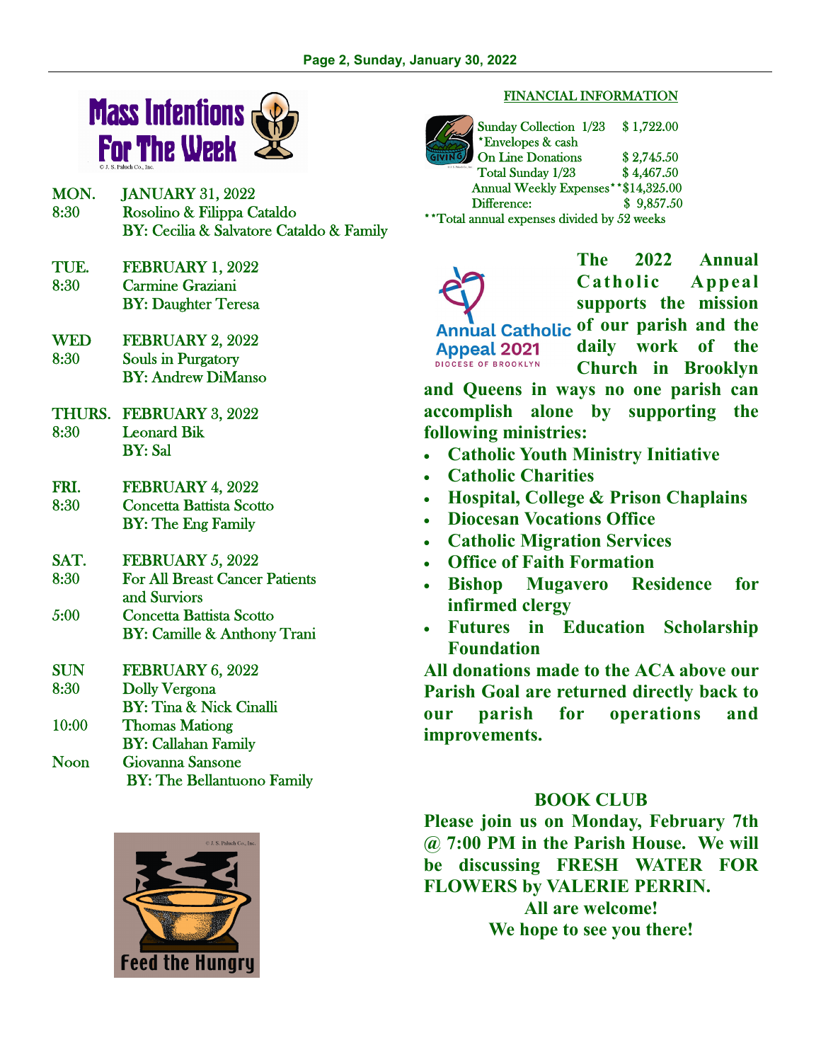

- MON. JANUARY 31, 2022 8:30 Rosolino & Filippa Cataldo BY: Cecilia & Salvatore Cataldo & Family
- TUE. FEBRUARY 1, 2022 8:30 Carmine Graziani BY: Daughter Teresa
- WED FEBRUARY 2, 2022 8:30 Souls in Purgatory BY: Andrew DiManso
- THURS. FEBRUARY 3, 2022 8:30 Leonard Bik BY: Sal
- FRI. FEBRUARY 4, 2022 8:30 Concetta Battista Scotto BY: The Eng Family
- SAT. FEBRUARY 5, 2022 8:30 For All Breast Cancer Patients and Surviors 5:00 Concetta Battista Scotto BY: Camille & Anthony Trani
- SUN FEBRUARY 6, 2022 8:30 Dolly Vergona BY: Tina & Nick Cinalli 10:00 Thomas Mationg BY: Callahan Family Noon Giovanna Sansone BY: The Bellantuono Family



#### FINANCIAL INFORMATION

Sunday Collection 1/23 \$ 1,722.00 \*Envelopes & cash On Line Donations \$2,745.50 Total Sunday 1/23 \$4,467.50 Annual Weekly Expenses\*\*\$14,325.00 Difference: \$ 9,857.50 \*\*Total annual expenses divided by 52 weeks

**The 2022 Annual Catholic Appeal supports the mission**  Annual Catholic of our parish and the **daily work of the Appeal 2021 DIOCESE OF BROOKLYN Church in Brooklyn** 

**and Queens in ways no one parish can accomplish alone by supporting the following ministries:** 

- **Catholic Youth Ministry Initiative**
- **Catholic Charities**
- **Hospital, College & Prison Chaplains**
- **Diocesan Vocations Office**
- **Catholic Migration Services**
- **Office of Faith Formation**
- **Bishop Mugavero Residence for infirmed clergy**
- **Futures in Education Scholarship Foundation**

**All donations made to the ACA above our Parish Goal are returned directly back to our parish for operations and improvements.** 

## **BOOK CLUB**

**Please join us on Monday, February 7th @ 7:00 PM in the Parish House. We will be discussing FRESH WATER FOR FLOWERS by VALERIE PERRIN.** 

> **All are welcome! We hope to see you there!**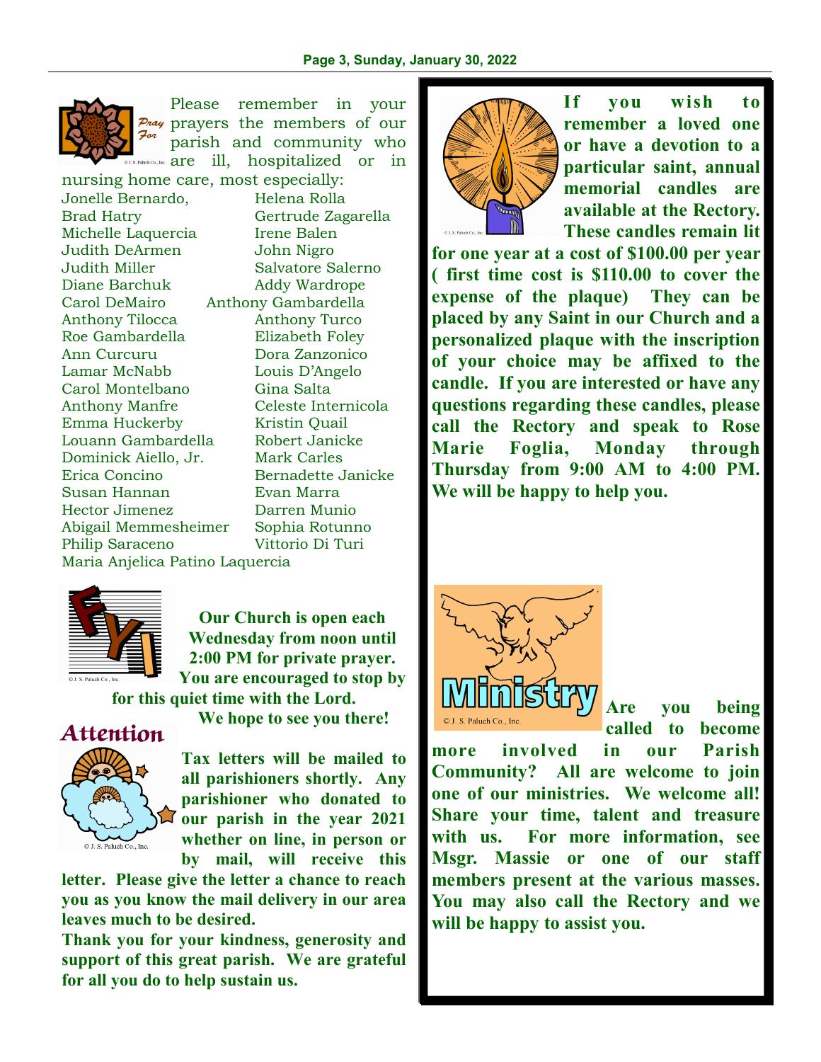

Please remember in your Pray prayers the members of our For parish and community who Paluch Co., Inc. **are** ill, hospitalized or in

nursing home care, most especially: Jonelle Bernardo, Helena Rolla Brad Hatry Gertrude Zagarella Michelle Laquercia Irene Balen Judith DeArmen John Nigro Judith Miller Salvatore Salerno Diane Barchuk Addy Wardrope Carol DeMairo Anthony Gambardella Anthony Tilocca Anthony Turco Roe Gambardella Elizabeth Foley Ann Curcuru Dora Zanzonico Lamar McNabb Louis D'Angelo Carol Montelbano Gina Salta Anthony Manfre Celeste Internicola Emma Huckerby Kristin Quail Louann Gambardella Robert Janicke Dominick Aiello, Jr. Mark Carles Erica Concino Bernadette Janicke Susan Hannan Evan Marra Hector Jimenez Darren Munio Abigail Memmesheimer Sophia Rotunno Philip Saraceno Vittorio Di Turi Maria Anjelica Patino Laquercia



**Our Church is open each Wednesday from noon until 2:00 PM for private prayer. You are encouraged to stop by** 

**for this quiet time with the Lord.** 



**We hope to see you there!** 

**Tax letters will be mailed to all parishioners shortly. Any parishioner who donated to our parish in the year 2021 whether on line, in person or by mail, will receive this** 

**letter. Please give the letter a chance to reach you as you know the mail delivery in our area leaves much to be desired.** 

**Thank you for your kindness, generosity and support of this great parish. We are grateful for all you do to help sustain us.** 



**If you wish to remember a loved one or have a devotion to a particular saint, annual memorial candles are available at the Rectory. These candles remain lit** 

**for one year at a cost of \$100.00 per year ( first time cost is \$110.00 to cover the expense of the plaque) They can be placed by any Saint in our Church and a personalized plaque with the inscription of your choice may be affixed to the candle. If you are interested or have any questions regarding these candles, please call the Rectory and speak to Rose Marie Foglia, Monday through Thursday from 9:00 AM to 4:00 PM. We will be happy to help you.** 



**Are you being called to become** 

**more involved in our Parish Community? All are welcome to join one of our ministries. We welcome all! Share your time, talent and treasure with us. For more information, see Msgr. Massie or one of our staff members present at the various masses. You may also call the Rectory and we will be happy to assist you.**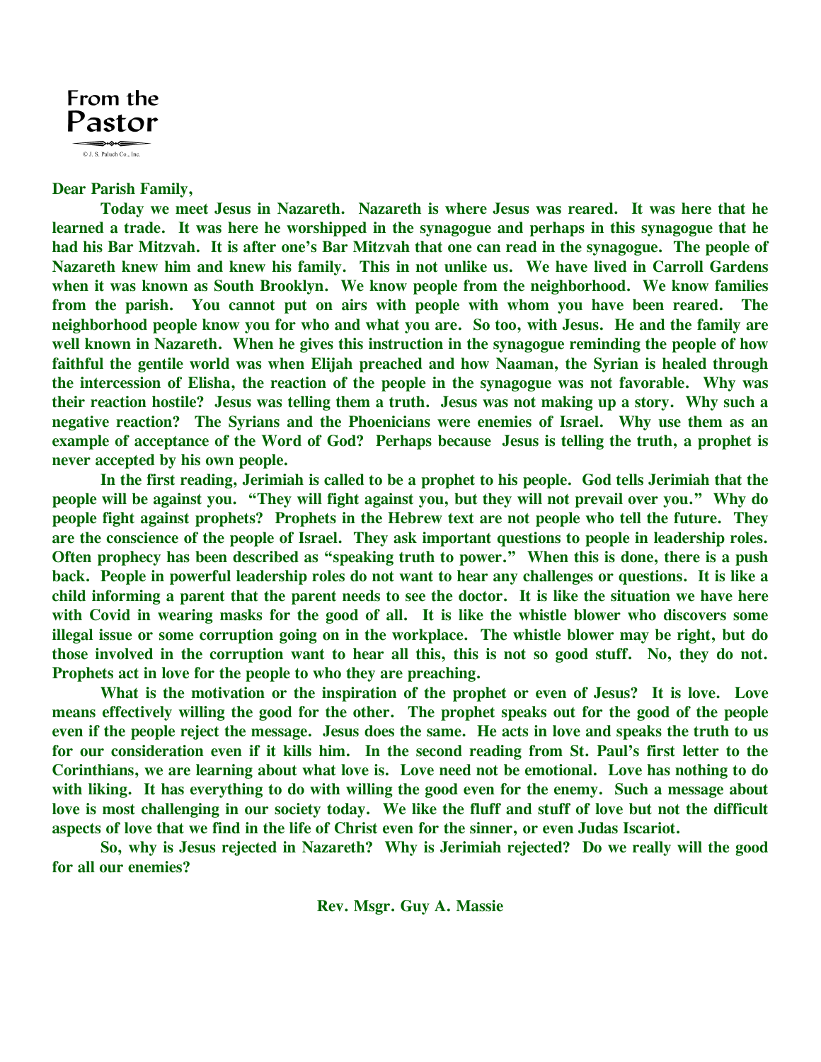

**Dear Parish Family,** 

 **Today we meet Jesus in Nazareth. Nazareth is where Jesus was reared. It was here that he learned a trade. It was here he worshipped in the synagogue and perhaps in this synagogue that he had his Bar Mitzvah. It is after one's Bar Mitzvah that one can read in the synagogue. The people of Nazareth knew him and knew his family. This in not unlike us. We have lived in Carroll Gardens when it was known as South Brooklyn. We know people from the neighborhood. We know families from the parish. You cannot put on airs with people with whom you have been reared. The neighborhood people know you for who and what you are. So too, with Jesus. He and the family are well known in Nazareth. When he gives this instruction in the synagogue reminding the people of how faithful the gentile world was when Elijah preached and how Naaman, the Syrian is healed through the intercession of Elisha, the reaction of the people in the synagogue was not favorable. Why was their reaction hostile? Jesus was telling them a truth. Jesus was not making up a story. Why such a negative reaction? The Syrians and the Phoenicians were enemies of Israel. Why use them as an example of acceptance of the Word of God? Perhaps because Jesus is telling the truth, a prophet is never accepted by his own people.** 

 **In the first reading, Jerimiah is called to be a prophet to his people. God tells Jerimiah that the people will be against you. "They will fight against you, but they will not prevail over you." Why do people fight against prophets? Prophets in the Hebrew text are not people who tell the future. They are the conscience of the people of Israel. They ask important questions to people in leadership roles. Often prophecy has been described as "speaking truth to power." When this is done, there is a push back. People in powerful leadership roles do not want to hear any challenges or questions. It is like a child informing a parent that the parent needs to see the doctor. It is like the situation we have here with Covid in wearing masks for the good of all. It is like the whistle blower who discovers some illegal issue or some corruption going on in the workplace. The whistle blower may be right, but do those involved in the corruption want to hear all this, this is not so good stuff. No, they do not. Prophets act in love for the people to who they are preaching.** 

 **What is the motivation or the inspiration of the prophet or even of Jesus? It is love. Love means effectively willing the good for the other. The prophet speaks out for the good of the people even if the people reject the message. Jesus does the same. He acts in love and speaks the truth to us for our consideration even if it kills him. In the second reading from St. Paul's first letter to the Corinthians, we are learning about what love is. Love need not be emotional. Love has nothing to do with liking. It has everything to do with willing the good even for the enemy. Such a message about love is most challenging in our society today. We like the fluff and stuff of love but not the difficult aspects of love that we find in the life of Christ even for the sinner, or even Judas Iscariot.** 

 **So, why is Jesus rejected in Nazareth? Why is Jerimiah rejected? Do we really will the good for all our enemies?** 

**Rev. Msgr. Guy A. Massie**